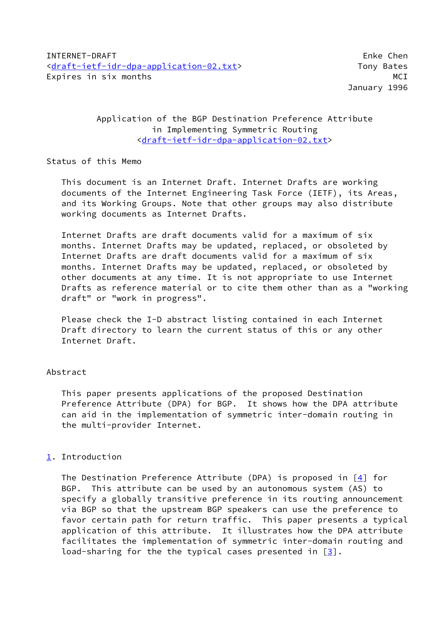# Application of the BGP Destination Preference Attribute in Implementing Symmetric Routing [<draft-ietf-idr-dpa-application-02.txt](https://datatracker.ietf.org/doc/pdf/draft-ietf-idr-dpa-application-02.txt)>

### Status of this Memo

 This document is an Internet Draft. Internet Drafts are working documents of the Internet Engineering Task Force (IETF), its Areas, and its Working Groups. Note that other groups may also distribute working documents as Internet Drafts.

 Internet Drafts are draft documents valid for a maximum of six months. Internet Drafts may be updated, replaced, or obsoleted by Internet Drafts are draft documents valid for a maximum of six months. Internet Drafts may be updated, replaced, or obsoleted by other documents at any time. It is not appropriate to use Internet Drafts as reference material or to cite them other than as a "working draft" or "work in progress".

 Please check the I-D abstract listing contained in each Internet Draft directory to learn the current status of this or any other Internet Draft.

## Abstract

 This paper presents applications of the proposed Destination Preference Attribute (DPA) for BGP. It shows how the DPA attribute can aid in the implementation of symmetric inter-domain routing in the multi-provider Internet.

## <span id="page-0-0"></span>[1](#page-0-0). Introduction

The Destination Preference Attribute (DPA) is proposed in  $[4]$  $[4]$  for BGP. This attribute can be used by an autonomous system (AS) to specify a globally transitive preference in its routing announcement via BGP so that the upstream BGP speakers can use the preference to favor certain path for return traffic. This paper presents a typical application of this attribute. It illustrates how the DPA attribute facilitates the implementation of symmetric inter-domain routing and load-sharing for the the typical cases presented in  $[3]$  $[3]$ .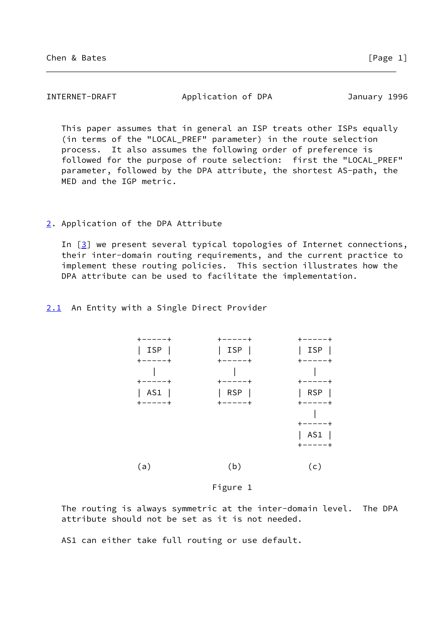| INTERNET-DRAFT | Application of DPA | January 1996 |
|----------------|--------------------|--------------|
|----------------|--------------------|--------------|

 This paper assumes that in general an ISP treats other ISPs equally (in terms of the "LOCAL\_PREF" parameter) in the route selection process. It also assumes the following order of preference is followed for the purpose of route selection: first the "LOCAL\_PREF" parameter, followed by the DPA attribute, the shortest AS-path, the MED and the IGP metric.

### <span id="page-1-0"></span>[2](#page-1-0). Application of the DPA Attribute

In  $[3]$  $[3]$  we present several typical topologies of Internet connections, their inter-domain routing requirements, and the current practice to implement these routing policies. This section illustrates how the DPA attribute can be used to facilitate the implementation.

<span id="page-1-1"></span>[2.1](#page-1-1) An Entity with a Single Direct Provider



#### Figure 1

 The routing is always symmetric at the inter-domain level. The DPA attribute should not be set as it is not needed.

AS1 can either take full routing or use default.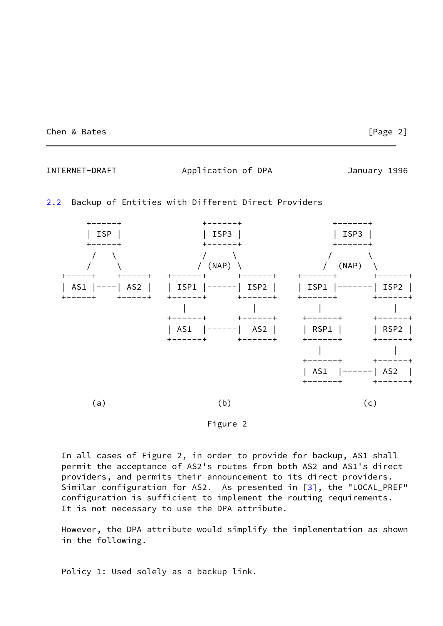Chen & Bates [Page 2]

INTERNET-DRAFT Application of DPA January 1996

### <span id="page-2-0"></span>[2.2](#page-2-0) Backup of Entities with Different Direct Providers





 In all cases of Figure 2, in order to provide for backup, AS1 shall permit the acceptance of AS2's routes from both AS2 and AS1's direct providers, and permits their announcement to its direct providers. Similar configuration for AS2. As presented in  $[3]$  $[3]$ , the "LOCAL\_PREF" configuration is sufficient to implement the routing requirements. It is not necessary to use the DPA attribute.

 However, the DPA attribute would simplify the implementation as shown in the following.

Policy 1: Used solely as a backup link.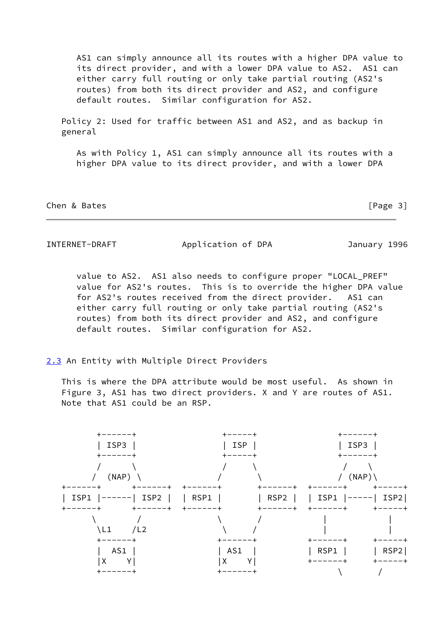AS1 can simply announce all its routes with a higher DPA value to its direct provider, and with a lower DPA value to AS2. AS1 can either carry full routing or only take partial routing (AS2's routes) from both its direct provider and AS2, and configure default routes. Similar configuration for AS2.

 Policy 2: Used for traffic between AS1 and AS2, and as backup in general

 As with Policy 1, AS1 can simply announce all its routes with a higher DPA value to its direct provider, and with a lower DPA

Chen & Bates [Page 3]

INTERNET-DRAFT Application of DPA January 1996

 value to AS2. AS1 also needs to configure proper "LOCAL\_PREF" value for AS2's routes. This is to override the higher DPA value for AS2's routes received from the direct provider. AS1 can either carry full routing or only take partial routing (AS2's routes) from both its direct provider and AS2, and configure default routes. Similar configuration for AS2.

## <span id="page-3-0"></span>[2.3](#page-3-0) An Entity with Multiple Direct Providers

 This is where the DPA attribute would be most useful. As shown in Figure 3, AS1 has two direct providers. X and Y are routes of AS1. Note that AS1 could be an RSP.

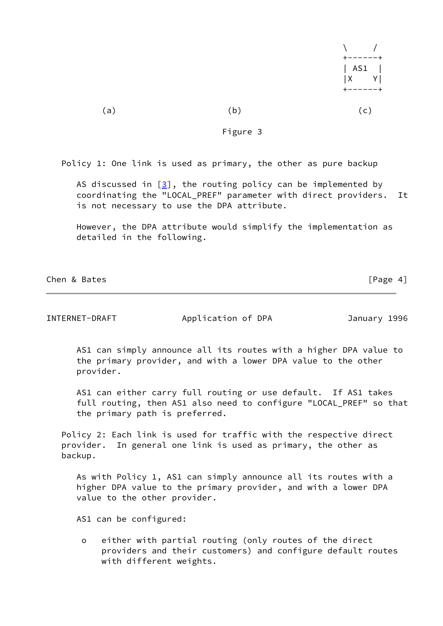| $\lambda$ /<br>$+ - - - - - +$ |  |
|--------------------------------|--|
| AS1  <br>$ X \tY $             |  |
| $+ - - - - - +$                |  |

 $(a)$  (b)  $(c)$ 

Figure 3

Policy 1: One link is used as primary, the other as pure backup

AS discussed in  $[3]$  $[3]$ , the routing policy can be implemented by coordinating the "LOCAL\_PREF" parameter with direct providers. It is not necessary to use the DPA attribute.

 However, the DPA attribute would simplify the implementation as detailed in the following.

Chen & Bates [Page 4]

INTERNET-DRAFT Application of DPA January 1996

 AS1 can simply announce all its routes with a higher DPA value to the primary provider, and with a lower DPA value to the other provider.

AS1 can either carry full routing or use default. If AS1 takes full routing, then AS1 also need to configure "LOCAL\_PREF" so that the primary path is preferred.

 Policy 2: Each link is used for traffic with the respective direct provider. In general one link is used as primary, the other as backup.

 As with Policy 1, AS1 can simply announce all its routes with a higher DPA value to the primary provider, and with a lower DPA value to the other provider.

AS1 can be configured:

 o either with partial routing (only routes of the direct providers and their customers) and configure default routes with different weights.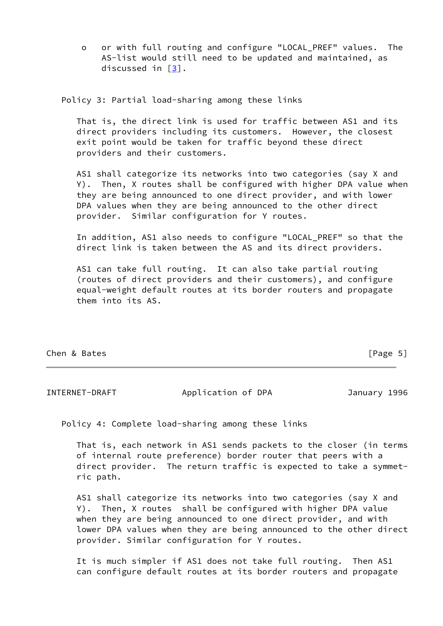o or with full routing and configure "LOCAL\_PREF" values. The AS-list would still need to be updated and maintained, as discussed in [\[3\]](#page-8-1).

Policy 3: Partial load-sharing among these links

 That is, the direct link is used for traffic between AS1 and its direct providers including its customers. However, the closest exit point would be taken for traffic beyond these direct providers and their customers.

 AS1 shall categorize its networks into two categories (say X and Y). Then, X routes shall be configured with higher DPA value when they are being announced to one direct provider, and with lower DPA values when they are being announced to the other direct provider. Similar configuration for Y routes.

 In addition, AS1 also needs to configure "LOCAL\_PREF" so that the direct link is taken between the AS and its direct providers.

 AS1 can take full routing. It can also take partial routing (routes of direct providers and their customers), and configure equal-weight default routes at its border routers and propagate them into its AS.

Chen & Bates [Page 5]

INTERNET-DRAFT Application of DPA January 1996

Policy 4: Complete load-sharing among these links

 That is, each network in AS1 sends packets to the closer (in terms of internal route preference) border router that peers with a direct provider. The return traffic is expected to take a symmet ric path.

 AS1 shall categorize its networks into two categories (say X and Y). Then, X routes shall be configured with higher DPA value when they are being announced to one direct provider, and with lower DPA values when they are being announced to the other direct provider. Similar configuration for Y routes.

 It is much simpler if AS1 does not take full routing. Then AS1 can configure default routes at its border routers and propagate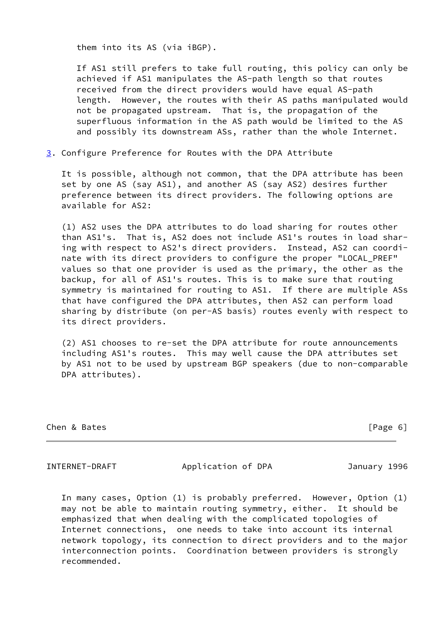them into its AS (via iBGP).

 If AS1 still prefers to take full routing, this policy can only be achieved if AS1 manipulates the AS-path length so that routes received from the direct providers would have equal AS-path length. However, the routes with their AS paths manipulated would not be propagated upstream. That is, the propagation of the superfluous information in the AS path would be limited to the AS and possibly its downstream ASs, rather than the whole Internet.

<span id="page-6-0"></span>[3](#page-6-0). Configure Preference for Routes with the DPA Attribute

 It is possible, although not common, that the DPA attribute has been set by one AS (say AS1), and another AS (say AS2) desires further preference between its direct providers. The following options are available for AS2:

 (1) AS2 uses the DPA attributes to do load sharing for routes other than AS1's. That is, AS2 does not include AS1's routes in load shar ing with respect to AS2's direct providers. Instead, AS2 can coordi nate with its direct providers to configure the proper "LOCAL\_PREF" values so that one provider is used as the primary, the other as the backup, for all of AS1's routes. This is to make sure that routing symmetry is maintained for routing to AS1. If there are multiple ASs that have configured the DPA attributes, then AS2 can perform load sharing by distribute (on per-AS basis) routes evenly with respect to its direct providers.

 (2) AS1 chooses to re-set the DPA attribute for route announcements including AS1's routes. This may well cause the DPA attributes set by AS1 not to be used by upstream BGP speakers (due to non-comparable DPA attributes).

Chen & Bates [Page 6]

INTERNET-DRAFT Application of DPA January 1996

 In many cases, Option (1) is probably preferred. However, Option (1) may not be able to maintain routing symmetry, either. It should be emphasized that when dealing with the complicated topologies of Internet connections, one needs to take into account its internal network topology, its connection to direct providers and to the major interconnection points. Coordination between providers is strongly recommended.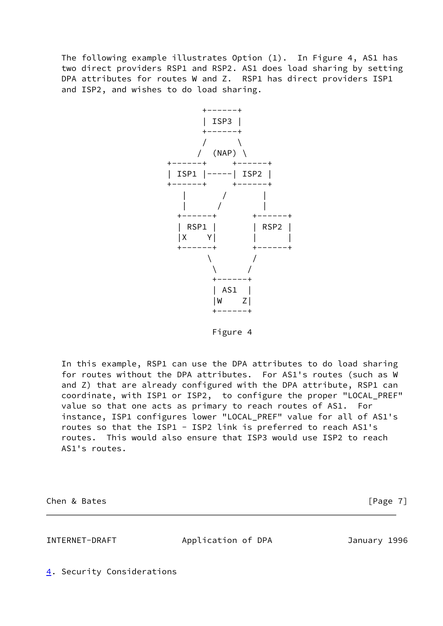The following example illustrates Option (1). In Figure 4, AS1 has two direct providers RSP1 and RSP2. AS1 does load sharing by setting DPA attributes for routes W and Z. RSP1 has direct providers ISP1 and ISP2, and wishes to do load sharing.



Figure 4

 In this example, RSP1 can use the DPA attributes to do load sharing for routes without the DPA attributes. For AS1's routes (such as W and Z) that are already configured with the DPA attribute, RSP1 can coordinate, with ISP1 or ISP2, to configure the proper "LOCAL\_PREF" value so that one acts as primary to reach routes of AS1. For instance, ISP1 configures lower "LOCAL\_PREF" value for all of AS1's routes so that the ISP1 - ISP2 link is preferred to reach AS1's routes. This would also ensure that ISP3 would use ISP2 to reach AS1's routes.

Chen & Bates [Page 7]

INTERNET-DRAFT Application of DPA January 1996

<span id="page-7-0"></span>[4](#page-7-0). Security Considerations